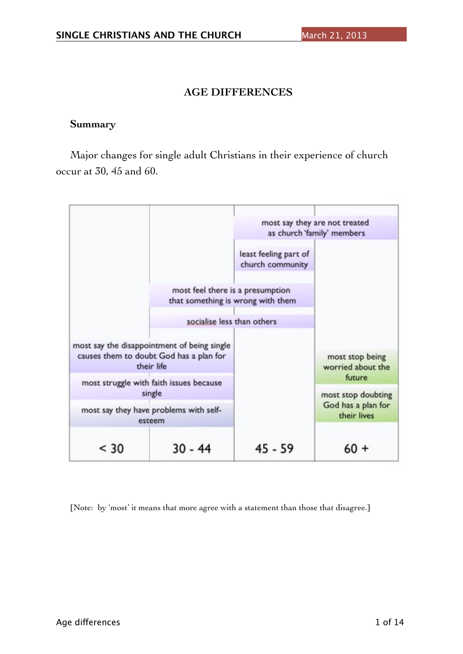# **AGE DIFFERENCES**

## **Summary**

Major changes for single adult Christians in their experience of church occur at 30, 45 and 60.



[Note: by 'most' it means that more agree with a statement than those that disagree.]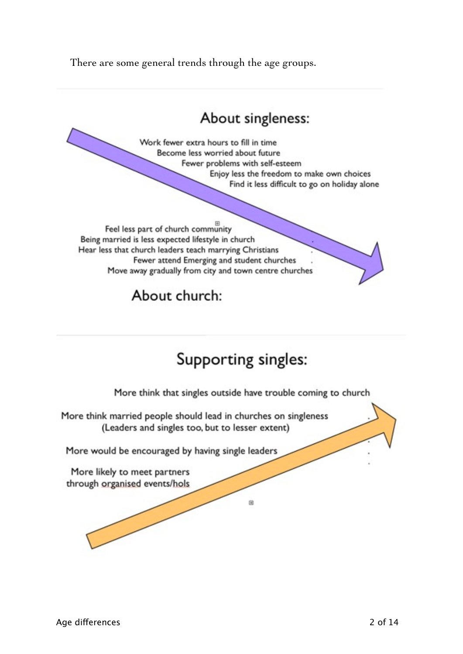There are some general trends through the age groups.

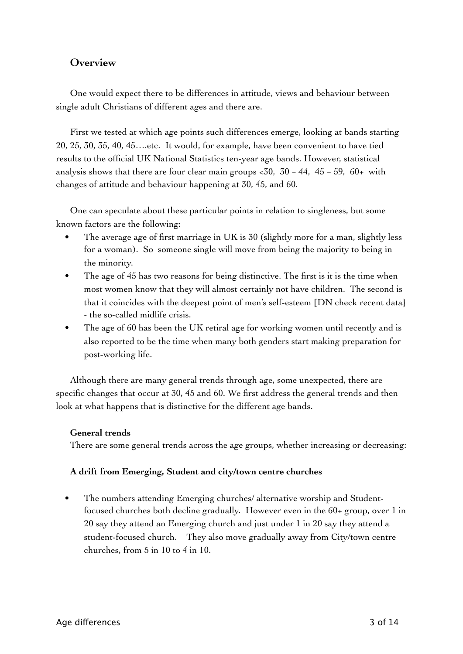# **Overview**

One would expect there to be differences in attitude, views and behaviour between single adult Christians of different ages and there are.

First we tested at which age points such differences emerge, looking at bands starting 20, 25, 30, 35, 40, 45….etc. It would, for example, have been convenient to have tied results to the official UK National Statistics ten-year age bands. However, statistical analysis shows that there are four clear main groups  $\lt 30$ , 30 – 44, 45 – 59, 60+ with changes of attitude and behaviour happening at 30, 45, and 60.

One can speculate about these particular points in relation to singleness, but some known factors are the following:

- The average age of first marriage in UK is 30 (slightly more for a man, slightly less for a woman). So someone single will move from being the majority to being in the minority.
- The age of 45 has two reasons for being distinctive. The first is it is the time when most women know that they will almost certainly not have children. The second is that it coincides with the deepest point of men's self-esteem [DN check recent data} - the so-called midlife crisis.
- The age of 60 has been the UK retiral age for working women until recently and is also reported to be the time when many both genders start making preparation for post-working life.

Although there are many general trends through age, some unexpected, there are specific changes that occur at 30, 45 and 60. We first address the general trends and then look at what happens that is distinctive for the different age bands.

## **General trends**

There are some general trends across the age groups, whether increasing or decreasing:

## **A drift from Emerging, Student and city/town centre churches**

The numbers attending Emerging churches/ alternative worship and Studentfocused churches both decline gradually. However even in the 60+ group, over 1 in 20 say they attend an Emerging church and just under 1 in 20 say they attend a student-focused church. They also move gradually away from City/town centre churches, from 5 in 10 to 4 in 10.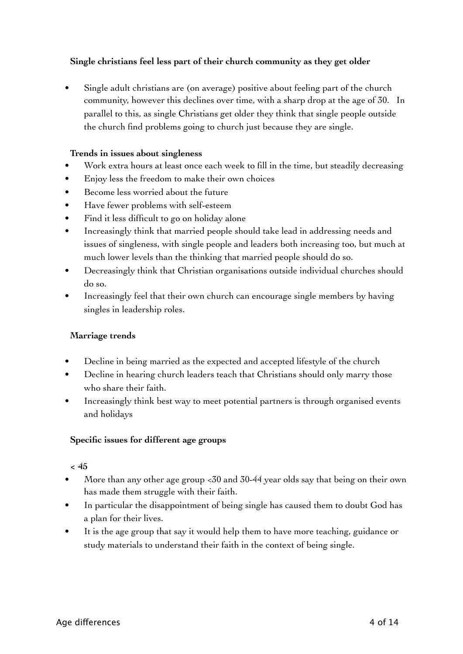# **Single christians feel less part of their church community as they get older**

Single adult christians are (on average) positive about feeling part of the church community, however this declines over time, with a sharp drop at the age of 30. In parallel to this, as single Christians get older they think that single people outside the church find problems going to church just because they are single.

### **Trends in issues about singleness**

- Work extra hours at least once each week to fill in the time, but steadily decreasing
- Enjoy less the freedom to make their own choices
- Become less worried about the future
- Have fewer problems with self-esteem
- Find it less difficult to go on holiday alone
- Increasingly think that married people should take lead in addressing needs and issues of singleness, with single people and leaders both increasing too, but much at much lower levels than the thinking that married people should do so.
- Decreasingly think that Christian organisations outside individual churches should do so.
- Increasingly feel that their own church can encourage single members by having singles in leadership roles.

#### **Marriage trends**

- Decline in being married as the expected and accepted lifestyle of the church
- Decline in hearing church leaders teach that Christians should only marry those who share their faith.
- Increasingly think best way to meet potential partners is through organised events and holidays

## **Specific issues for different age groups**

#### **< 45**

- More than any other age group <30 and 30-44 year olds say that being on their own has made them struggle with their faith.
- In particular the disappointment of being single has caused them to doubt God has a plan for their lives.
- It is the age group that say it would help them to have more teaching, guidance or study materials to understand their faith in the context of being single.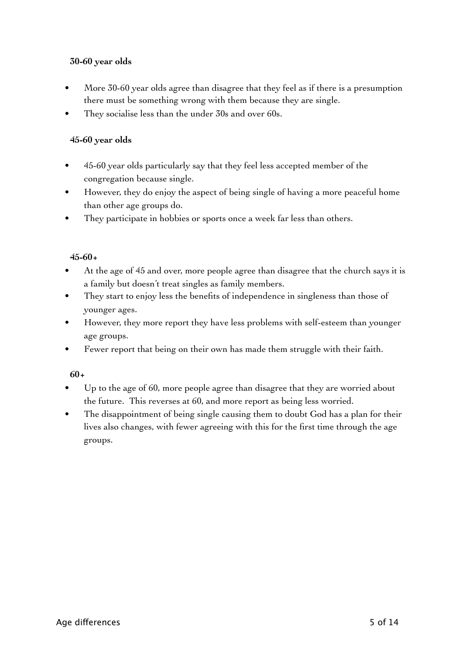# **30-60 year olds**

- More 30-60 year olds agree than disagree that they feel as if there is a presumption there must be something wrong with them because they are single.
- They socialise less than the under 30s and over 60s.

## **45-60 year olds**

- 45-60 year olds particularly say that they feel less accepted member of the congregation because single.
- However, they do enjoy the aspect of being single of having a more peaceful home than other age groups do.
- They participate in hobbies or sports once a week far less than others.

# **45-60+**

- At the age of 45 and over, more people agree than disagree that the church says it is a family but doesn't treat singles as family members.
- They start to enjoy less the benefits of independence in singleness than those of younger ages.
- However, they more report they have less problems with self-esteem than younger age groups.
- Fewer report that being on their own has made them struggle with their faith.

## **60+**

- Up to the age of 60, more people agree than disagree that they are worried about the future. This reverses at 60, and more report as being less worried.
- The disappointment of being single causing them to doubt God has a plan for their lives also changes, with fewer agreeing with this for the first time through the age groups.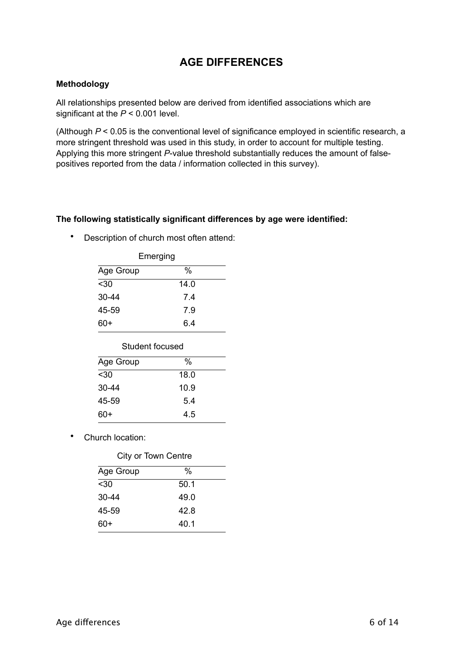# **AGE DIFFERENCES**

#### **Methodology**

All relationships presented below are derived from identified associations which are significant at the *P* < 0.001 level.

(Although *P* < 0.05 is the conventional level of significance employed in scientific research, a more stringent threshold was used in this study, in order to account for multiple testing. Applying this more stringent *P*-value threshold substantially reduces the amount of falsepositives reported from the data / information collected in this survey).

#### **The following statistically significant differences by age were identified:**

• Description of church most often attend:

| Emerging  |      |
|-----------|------|
| Age Group | %    |
| $30$      | 14.0 |
| $30 - 44$ | 74   |
| 45-59     | 7.9  |
| 60+       | 6 4  |

| Student focused |      |  |
|-----------------|------|--|
| Age Group       | %    |  |
| $30$            | 18.0 |  |
| 30-44           | 10.9 |  |
| 45-59           | 5.4  |  |

60+ 4.5

Church location:

| City or Town Centre |      |
|---------------------|------|
| Age Group           | %    |
| $30$                | 50.1 |
| $30 - 44$           | 49.0 |
| 45-59               | 42.8 |
| 60+                 | 40.1 |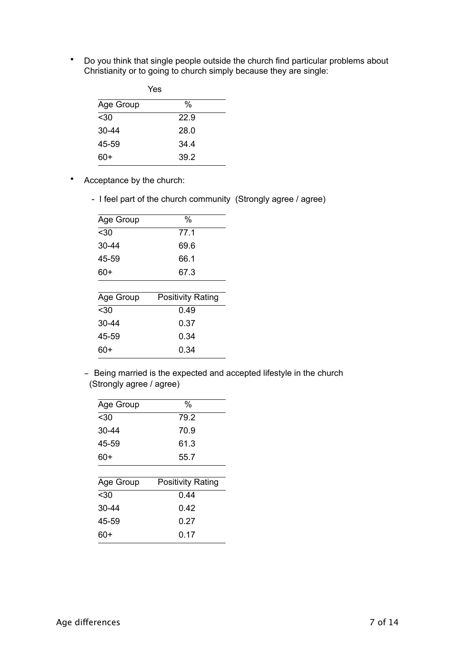• Do you think that single people outside the church find particular problems about Christianity or to going to church simply because they are single:

| Yes       |      |  |
|-----------|------|--|
| Age Group | %    |  |
| $30$      | 22.9 |  |
| $30 - 44$ | 28.0 |  |
| 45-59     | 34.4 |  |
| 60+       | 39.2 |  |

- Acceptance by the church:
	- I feel part of the church community (Strongly agree / agree)

| Age Group | $\%$                     |
|-----------|--------------------------|
| $30$      | 77.1                     |
| 30-44     | 69.6                     |
| 45-59     | 66.1                     |
| 60+       | 67.3                     |
|           |                          |
| Age Group | <b>Positivity Rating</b> |
| $30$      | 0.49                     |
| 30-44     | 0.37                     |
| 45-59     | 0.34                     |
| 60+       | 0.34                     |
|           |                          |

- Being married is the expected and accepted lifestyle in the church (Strongly agree / agree)

| Age Group | $\%$                     |
|-----------|--------------------------|
| $30$      | 79.2                     |
| 30-44     | 70.9                     |
| 45-59     | 61.3                     |
| 60+       | 55.7                     |
|           |                          |
| Age Group | <b>Positivity Rating</b> |
| $30$      | 0.44                     |
| 30-44     | 0.42                     |
| 45-59     | 0.27                     |
|           |                          |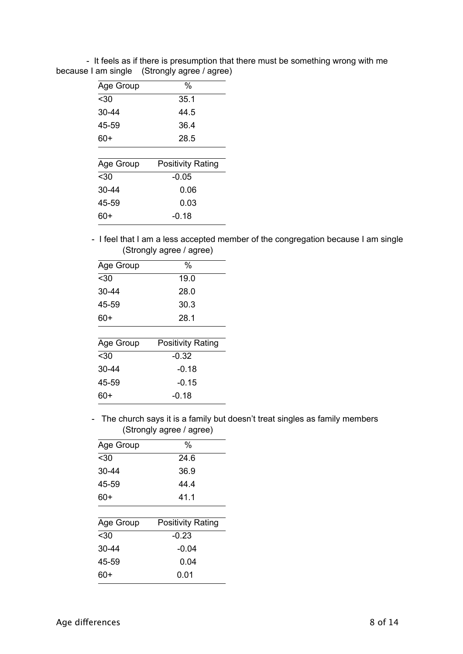| Age Group | %                        |
|-----------|--------------------------|
| $30$      | 35.1                     |
| 30-44     | 44.5                     |
| 45-59     | 36.4                     |
| 60+       | 28.5                     |
|           |                          |
| Age Group | <b>Positivity Rating</b> |
| $30$      | $-0.05$                  |
| 30-44     | 0.06                     |
| 45-59     | 0.03                     |
| 60+       | -0.18                    |
|           |                          |

 - It feels as if there is presumption that there must be something wrong with me because I am single (Strongly agree / agree)

> - I feel that I am a less accepted member of the congregation because I am single (Strongly agree / agree)

| Age Group | $\%$                     |
|-----------|--------------------------|
| $30$      | 19.0                     |
| 30-44     | 28.0                     |
| 45-59     | 30.3                     |
| 60+       | 28.1                     |
|           |                          |
| Age Group | <b>Positivity Rating</b> |
| $30$      | $-0.32$                  |
| 30-44     | -0.18                    |
| 45-59     | -0.15                    |
| 60+       | -0.18                    |
|           |                          |

 - The church says it is a family but doesn't treat singles as family members (Strongly agree / agree)

| Age Group | $\%$                     |
|-----------|--------------------------|
| $30$      | 24.6                     |
| 30-44     | 36.9                     |
| 45-59     | 44.4                     |
| 60+       | 41.1                     |
|           |                          |
| Age Group | <b>Positivity Rating</b> |
| $30$      | $-0.23$                  |
| 30-44     | $-0.04$                  |
| 45-59     | 0.04                     |
| 60+       | 0.01                     |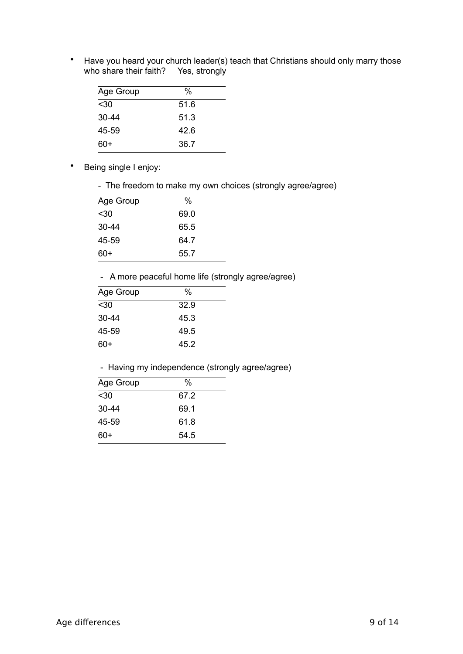• Have you heard your church leader(s) teach that Christians should only marry those who share their faith? Yes, strongly

| Age Group | %    |
|-----------|------|
| $30$      | 51.6 |
| $30 - 44$ | 51.3 |
| 45-59     | 42.6 |
| 60+       | 36.7 |

- Being single I enjoy:
	- The freedom to make my own choices (strongly agree/agree)

| Age Group | %    |  |
|-----------|------|--|
| $30$      | 69.0 |  |
| $30 - 44$ | 65.5 |  |
| 45-59     | 64.7 |  |
| $60+$     | 55.7 |  |

- A more peaceful home life (strongly agree/agree)

| Age Group | %    |
|-----------|------|
| $30$      | 32.9 |
| $30 - 44$ | 45.3 |
| 45-59     | 49.5 |
| $60+$     | 45.2 |

- Having my independence (strongly agree/agree)

| Age Group | %    |  |
|-----------|------|--|
| $30$      | 67.2 |  |
| 30-44     | 69.1 |  |
| 45-59     | 61.8 |  |
| 60+       | 54.5 |  |
|           |      |  |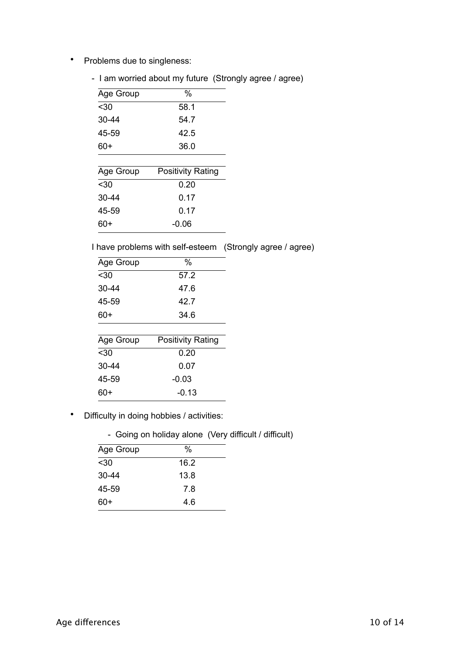• Problems due to singleness:

|  |  |  |  |  | - I am worried about my future (Strongly agree / agree) |  |  |
|--|--|--|--|--|---------------------------------------------------------|--|--|
|--|--|--|--|--|---------------------------------------------------------|--|--|

| Age Group | $\%$                     |
|-----------|--------------------------|
| $30$      | 58.1                     |
| 30-44     | 54.7                     |
| 45-59     | 42.5                     |
| $60+$     | 36.0                     |
|           |                          |
| Age Group | <b>Positivity Rating</b> |
| $30$      | 0.20                     |
| $30 - 44$ | 0.17                     |
| 45-59     | 0.17                     |
| 60+       | -0.06                    |

I have problems with self-esteem (Strongly agree / agree)

| Age Group | $\frac{0}{0}$            |
|-----------|--------------------------|
| $30$      | 57.2                     |
| 30-44     | 47.6                     |
| 45-59     | 42 7                     |
| 60+       | 34.6                     |
|           |                          |
| Age Group | <b>Positivity Rating</b> |
|           |                          |
| $30$      | 0.20                     |
| 30-44     | 0.07                     |
| 45-59     | $-0.03$                  |
| 60+       | $-0.13$                  |

- Difficulty in doing hobbies / activities:
	- Going on holiday alone (Very difficult / difficult)

| Age Group | %    |
|-----------|------|
| $30$      | 16.2 |
| $30 - 44$ | 13.8 |
| 45-59     | 7.8  |
| 60+       | 4.6  |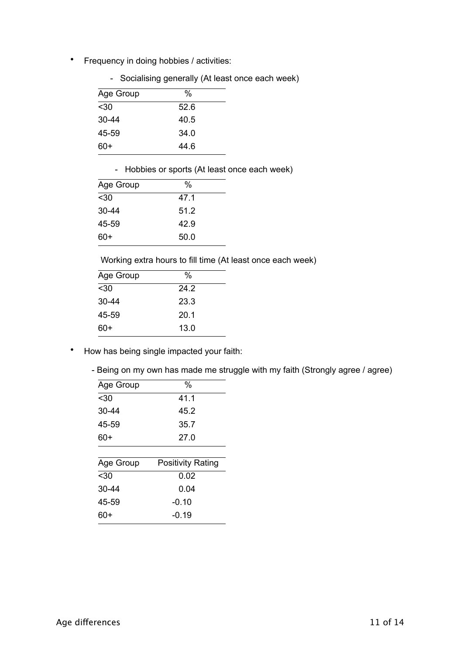• Frequency in doing hobbies / activities:

|  |  | - Socialising generally (At least once each week) |  |  |  |  |  |
|--|--|---------------------------------------------------|--|--|--|--|--|
|--|--|---------------------------------------------------|--|--|--|--|--|

| %    |
|------|
| 52.6 |
| 40.5 |
| 34.0 |
| 44.6 |
|      |

- Hobbies or sports (At least once each week)

| Age Group | %    |
|-----------|------|
| $30$      | 47.1 |
| $30 - 44$ | 51.2 |
| 45-59     | 42.9 |
| 60+       | 50.0 |

Working extra hours to fill time (At least once each week)

| Age Group | %    |
|-----------|------|
| $30$      | 24.2 |
| $30 - 44$ | 23.3 |
| 45-59     | 20.1 |
| 60+       | 13.0 |
|           |      |

- How has being single impacted your faith:
	- Being on my own has made me struggle with my faith (Strongly agree / agree)

| Age Group | $\%$                     |
|-----------|--------------------------|
| $30$      | 41.1                     |
| 30-44     | 45.2                     |
| 45-59     | 35.7                     |
| 60+       | 27.0                     |
|           |                          |
| Age Group | <b>Positivity Rating</b> |
| $30$      | 0.02                     |
| 30-44     | 0.04                     |
| 45-59     | $-0.10$                  |
| 60+       | -0 19                    |
|           |                          |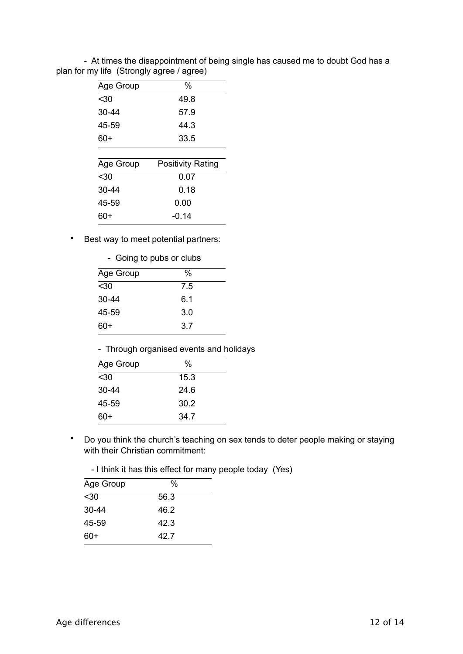| Age Group | %                        |
|-----------|--------------------------|
| $30$      | 49.8                     |
| 30-44     | 57.9                     |
| 45-59     | 44 3                     |
| 60+       | 33.5                     |
|           |                          |
| Age Group | <b>Positivity Rating</b> |
| $30$      | 0.07                     |
| $30 - 44$ | 0.18                     |
| 45-59     | 0.00                     |
| 60+       | -0.14                    |
|           |                          |

 - At times the disappointment of being single has caused me to doubt God has a plan for my life (Strongly agree / agree)

• Best way to meet potential partners:

| - Going to pubs or clubs |     |  |
|--------------------------|-----|--|
| Age Group                | %   |  |
| $30$                     | 7.5 |  |
| $30 - 44$                | 6.1 |  |
| 45-59                    | 3.0 |  |
| 60+                      | 3.7 |  |

- Through organised events and holidays

| Age Group | %    |
|-----------|------|
| $30$      | 15.3 |
| $30 - 44$ | 24.6 |
| 45-59     | 30.2 |
| 60+       | 34.7 |

• Do you think the church's teaching on sex tends to deter people making or staying with their Christian commitment:

| - I think it has this effect for many people today (Yes) |  |  |
|----------------------------------------------------------|--|--|
|----------------------------------------------------------|--|--|

| Age Group | %    |  |
|-----------|------|--|
| $30$      | 56.3 |  |
| $30 - 44$ | 46.2 |  |
| 45-59     | 42.3 |  |
| 60+       | 42.7 |  |
|           |      |  |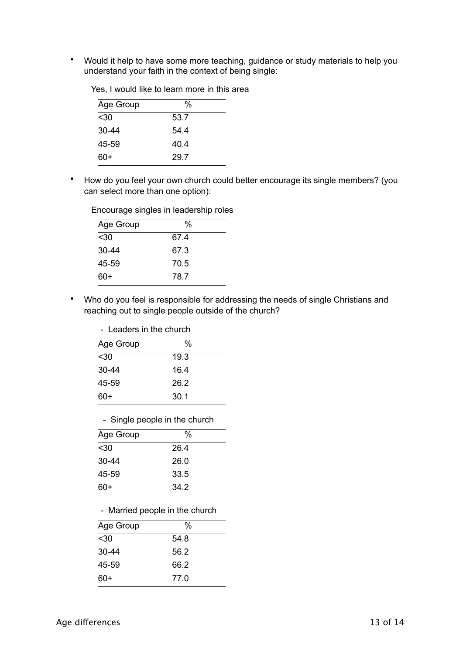• Would it help to have some more teaching, guidance or study materials to help you understand your faith in the context of being single:

| Age Group | %    |  |
|-----------|------|--|
| $30$      | 53.7 |  |
| $30 - 44$ | 54.4 |  |
| 45-59     | 40.4 |  |
| $60+$     | 29.7 |  |

Yes, I would like to learn more in this area

• How do you feel your own church could better encourage its single members? (you can select more than one option):

| Age Group | %    |  |
|-----------|------|--|
| $30$      | 67.4 |  |
| $30 - 44$ | 67.3 |  |
| 45-59     | 70.5 |  |
| 60+       | 78.7 |  |

Encourage singles in leadership roles

• Who do you feel is responsible for addressing the needs of single Christians and reaching out to single people outside of the church?

| - Leaders in the church |
|-------------------------|
|-------------------------|

| $\%$ |  |
|------|--|
| 19.3 |  |
| 16.4 |  |
| 26.2 |  |
| 30.1 |  |
|      |  |

- Single people in the church

| Age Group | %    |  |
|-----------|------|--|
| $30$      | 26.4 |  |
| $30 - 44$ | 26.0 |  |
| 45-59     | 33.5 |  |
| $60+$     | 34.2 |  |

- Married people in the church

| Age Group | %    |  |
|-----------|------|--|
| $30$      | 54.8 |  |
| $30 - 44$ | 56.2 |  |
| 45-59     | 66.2 |  |
| 60+       | 77.0 |  |